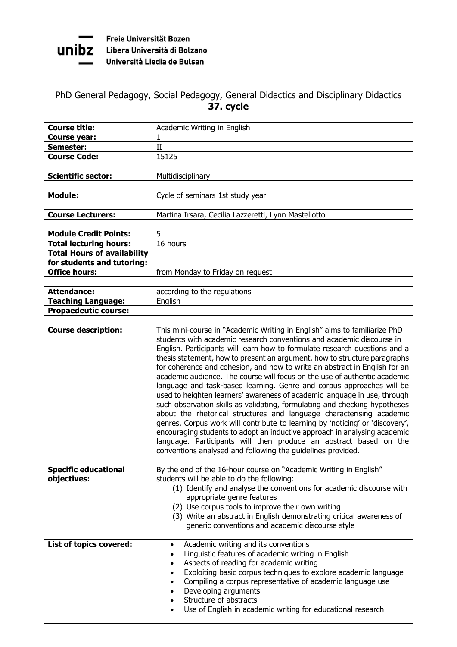

Freie Universität Bozen rreie Universität Bozen<br>UNIDZ Libera Università di Bolzano Università Liedia de Bulsan

## PhD General Pedagogy, Social Pedagogy, General Didactics and Disciplinary Didactics **37. cycle**

| <b>Course title:</b>                                     | Academic Writing in English                                                                                                                                                                                                                                                                                                                                                                                                                                                                                                                                                                                                                                                                                                                                                                                                                                                                                                                                                                               |
|----------------------------------------------------------|-----------------------------------------------------------------------------------------------------------------------------------------------------------------------------------------------------------------------------------------------------------------------------------------------------------------------------------------------------------------------------------------------------------------------------------------------------------------------------------------------------------------------------------------------------------------------------------------------------------------------------------------------------------------------------------------------------------------------------------------------------------------------------------------------------------------------------------------------------------------------------------------------------------------------------------------------------------------------------------------------------------|
| Course year:                                             | 1                                                                                                                                                                                                                                                                                                                                                                                                                                                                                                                                                                                                                                                                                                                                                                                                                                                                                                                                                                                                         |
| Semester:                                                | II                                                                                                                                                                                                                                                                                                                                                                                                                                                                                                                                                                                                                                                                                                                                                                                                                                                                                                                                                                                                        |
| <b>Course Code:</b>                                      | 15125                                                                                                                                                                                                                                                                                                                                                                                                                                                                                                                                                                                                                                                                                                                                                                                                                                                                                                                                                                                                     |
|                                                          |                                                                                                                                                                                                                                                                                                                                                                                                                                                                                                                                                                                                                                                                                                                                                                                                                                                                                                                                                                                                           |
| <b>Scientific sector:</b>                                | Multidisciplinary                                                                                                                                                                                                                                                                                                                                                                                                                                                                                                                                                                                                                                                                                                                                                                                                                                                                                                                                                                                         |
|                                                          |                                                                                                                                                                                                                                                                                                                                                                                                                                                                                                                                                                                                                                                                                                                                                                                                                                                                                                                                                                                                           |
| <b>Module:</b>                                           | Cycle of seminars 1st study year                                                                                                                                                                                                                                                                                                                                                                                                                                                                                                                                                                                                                                                                                                                                                                                                                                                                                                                                                                          |
|                                                          |                                                                                                                                                                                                                                                                                                                                                                                                                                                                                                                                                                                                                                                                                                                                                                                                                                                                                                                                                                                                           |
| <b>Course Lecturers:</b>                                 | Martina Irsara, Cecilia Lazzeretti, Lynn Mastellotto                                                                                                                                                                                                                                                                                                                                                                                                                                                                                                                                                                                                                                                                                                                                                                                                                                                                                                                                                      |
|                                                          |                                                                                                                                                                                                                                                                                                                                                                                                                                                                                                                                                                                                                                                                                                                                                                                                                                                                                                                                                                                                           |
| <b>Module Credit Points:</b>                             | 5                                                                                                                                                                                                                                                                                                                                                                                                                                                                                                                                                                                                                                                                                                                                                                                                                                                                                                                                                                                                         |
| <b>Total lecturing hours:</b>                            | 16 hours                                                                                                                                                                                                                                                                                                                                                                                                                                                                                                                                                                                                                                                                                                                                                                                                                                                                                                                                                                                                  |
| <b>Total Hours of availability</b>                       |                                                                                                                                                                                                                                                                                                                                                                                                                                                                                                                                                                                                                                                                                                                                                                                                                                                                                                                                                                                                           |
| for students and tutoring:                               |                                                                                                                                                                                                                                                                                                                                                                                                                                                                                                                                                                                                                                                                                                                                                                                                                                                                                                                                                                                                           |
| <b>Office hours:</b>                                     | from Monday to Friday on request                                                                                                                                                                                                                                                                                                                                                                                                                                                                                                                                                                                                                                                                                                                                                                                                                                                                                                                                                                          |
|                                                          |                                                                                                                                                                                                                                                                                                                                                                                                                                                                                                                                                                                                                                                                                                                                                                                                                                                                                                                                                                                                           |
| <b>Attendance:</b>                                       | according to the regulations                                                                                                                                                                                                                                                                                                                                                                                                                                                                                                                                                                                                                                                                                                                                                                                                                                                                                                                                                                              |
| <b>Teaching Language:</b><br><b>Propaedeutic course:</b> | English                                                                                                                                                                                                                                                                                                                                                                                                                                                                                                                                                                                                                                                                                                                                                                                                                                                                                                                                                                                                   |
|                                                          |                                                                                                                                                                                                                                                                                                                                                                                                                                                                                                                                                                                                                                                                                                                                                                                                                                                                                                                                                                                                           |
| <b>Course description:</b>                               | This mini-course in "Academic Writing in English" aims to familiarize PhD                                                                                                                                                                                                                                                                                                                                                                                                                                                                                                                                                                                                                                                                                                                                                                                                                                                                                                                                 |
|                                                          | students with academic research conventions and academic discourse in<br>English. Participants will learn how to formulate research questions and a<br>thesis statement, how to present an argument, how to structure paragraphs<br>for coherence and cohesion, and how to write an abstract in English for an<br>academic audience. The course will focus on the use of authentic academic<br>language and task-based learning. Genre and corpus approaches will be<br>used to heighten learners' awareness of academic language in use, through<br>such observation skills as validating, formulating and checking hypotheses<br>about the rhetorical structures and language characterising academic<br>genres. Corpus work will contribute to learning by 'noticing' or 'discovery',<br>encouraging students to adopt an inductive approach in analysing academic<br>language. Participants will then produce an abstract based on the<br>conventions analysed and following the guidelines provided. |
| <b>Specific educational</b><br>objectives:               | By the end of the 16-hour course on "Academic Writing in English"<br>students will be able to do the following:<br>(1) Identify and analyse the conventions for academic discourse with<br>appropriate genre features<br>(2) Use corpus tools to improve their own writing<br>(3) Write an abstract in English demonstrating critical awareness of<br>generic conventions and academic discourse style                                                                                                                                                                                                                                                                                                                                                                                                                                                                                                                                                                                                    |
| List of topics covered:                                  | Academic writing and its conventions<br>$\bullet$<br>Linguistic features of academic writing in English<br>$\bullet$<br>Aspects of reading for academic writing<br>$\bullet$<br>Exploiting basic corpus techniques to explore academic language<br>$\bullet$<br>Compiling a corpus representative of academic language use<br>$\bullet$<br>Developing arguments<br>$\bullet$<br>Structure of abstracts<br>$\bullet$<br>Use of English in academic writing for educational research<br>$\bullet$                                                                                                                                                                                                                                                                                                                                                                                                                                                                                                           |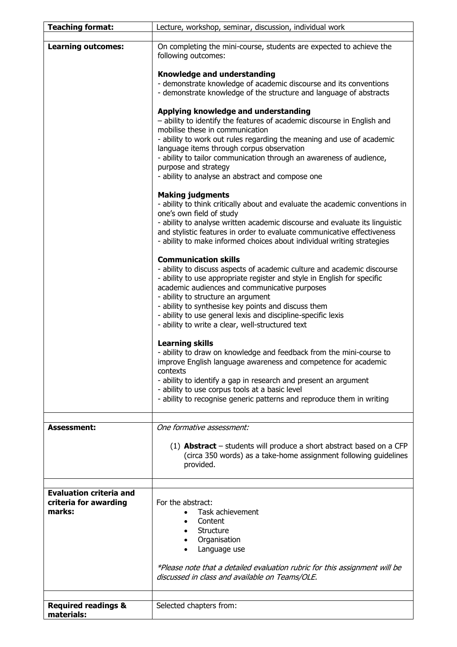| <b>Teaching format:</b>                                           | Lecture, workshop, seminar, discussion, individual work                                                                                                                                                                                                                                                                                                                                                                                             |
|-------------------------------------------------------------------|-----------------------------------------------------------------------------------------------------------------------------------------------------------------------------------------------------------------------------------------------------------------------------------------------------------------------------------------------------------------------------------------------------------------------------------------------------|
|                                                                   |                                                                                                                                                                                                                                                                                                                                                                                                                                                     |
| <b>Learning outcomes:</b>                                         | On completing the mini-course, students are expected to achieve the<br>following outcomes:                                                                                                                                                                                                                                                                                                                                                          |
|                                                                   | Knowledge and understanding<br>- demonstrate knowledge of academic discourse and its conventions<br>- demonstrate knowledge of the structure and language of abstracts                                                                                                                                                                                                                                                                              |
|                                                                   | Applying knowledge and understanding<br>- ability to identify the features of academic discourse in English and<br>mobilise these in communication<br>- ability to work out rules regarding the meaning and use of academic<br>language items through corpus observation<br>- ability to tailor communication through an awareness of audience,<br>purpose and strategy<br>- ability to analyse an abstract and compose one                         |
|                                                                   | <b>Making judgments</b><br>- ability to think critically about and evaluate the academic conventions in<br>one's own field of study<br>- ability to analyse written academic discourse and evaluate its linguistic<br>and stylistic features in order to evaluate communicative effectiveness<br>- ability to make informed choices about individual writing strategies                                                                             |
|                                                                   | <b>Communication skills</b><br>- ability to discuss aspects of academic culture and academic discourse<br>- ability to use appropriate register and style in English for specific<br>academic audiences and communicative purposes<br>- ability to structure an argument<br>- ability to synthesise key points and discuss them<br>- ability to use general lexis and discipline-specific lexis<br>- ability to write a clear, well-structured text |
|                                                                   | <b>Learning skills</b><br>- ability to draw on knowledge and feedback from the mini-course to<br>improve English language awareness and competence for academic<br>contexts<br>- ability to identify a gap in research and present an argument<br>- ability to use corpus tools at a basic level<br>- ability to recognise generic patterns and reproduce them in writing                                                                           |
|                                                                   |                                                                                                                                                                                                                                                                                                                                                                                                                                                     |
| <b>Assessment:</b>                                                | One formative assessment:<br>$(1)$ <b>Abstract</b> – students will produce a short abstract based on a CFP<br>(circa 350 words) as a take-home assignment following guidelines<br>provided.                                                                                                                                                                                                                                                         |
| <b>Evaluation criteria and</b><br>criteria for awarding<br>marks: | For the abstract:<br>Task achievement<br>Content<br>Structure<br>Organisation<br>Language use                                                                                                                                                                                                                                                                                                                                                       |
|                                                                   | *Please note that a detailed evaluation rubric for this assignment will be<br>discussed in class and available on Teams/OLE.                                                                                                                                                                                                                                                                                                                        |
| <b>Required readings &amp;</b><br>materials:                      | Selected chapters from:                                                                                                                                                                                                                                                                                                                                                                                                                             |